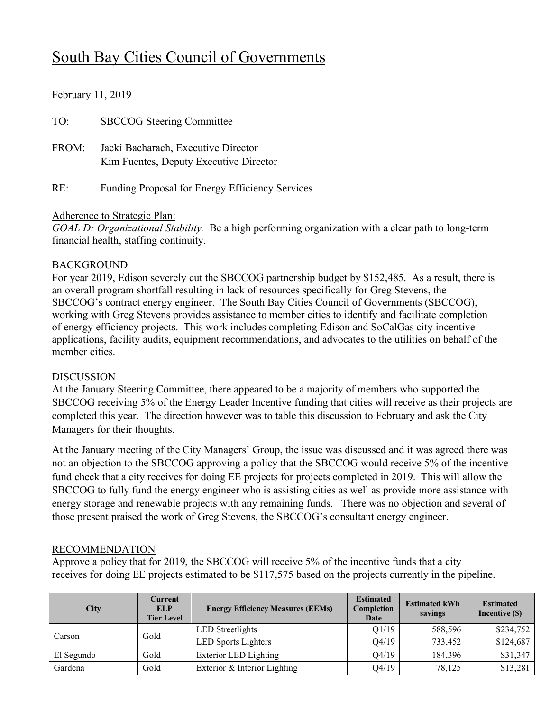# South Bay Cities Council of Governments

February 11, 2019

| TO:   | <b>SBCCOG</b> Steering Committee                                              |
|-------|-------------------------------------------------------------------------------|
| FROM: | Jacki Bacharach, Executive Director<br>Kim Fuentes, Deputy Executive Director |
| RE:   | Funding Proposal for Energy Efficiency Services                               |

## Adherence to Strategic Plan:

*GOAL D: Organizational Stability.* Be a high performing organization with a clear path to long-term financial health, staffing continuity.

## BACKGROUND

For year 2019, Edison severely cut the SBCCOG partnership budget by \$152,485. As a result, there is an overall program shortfall resulting in lack of resources specifically for Greg Stevens, the SBCCOG's contract energy engineer. The South Bay Cities Council of Governments (SBCCOG), working with Greg Stevens provides assistance to member cities to identify and facilitate completion of energy efficiency projects. This work includes completing Edison and SoCalGas city incentive applications, facility audits, equipment recommendations, and advocates to the utilities on behalf of the member cities.

### DISCUSSION

At the January Steering Committee, there appeared to be a majority of members who supported the SBCCOG receiving 5% of the Energy Leader Incentive funding that cities will receive as their projects are completed this year. The direction however was to table this discussion to February and ask the City Managers for their thoughts.

At the January meeting of the City Managers' Group, the issue was discussed and it was agreed there was not an objection to the SBCCOG approving a policy that the SBCCOG would receive 5% of the incentive fund check that a city receives for doing EE projects for projects completed in 2019. This will allow the SBCCOG to fully fund the energy engineer who is assisting cities as well as provide more assistance with energy storage and renewable projects with any remaining funds. There was no objection and several of those present praised the work of Greg Stevens, the SBCCOG's consultant energy engineer.

## RECOMMENDATION

Approve a policy that for 2019, the SBCCOG will receive 5% of the incentive funds that a city receives for doing EE projects estimated to be \$117,575 based on the projects currently in the pipeline.

| <b>City</b> | Current<br><b>ELP</b><br><b>Tier Level</b> | <b>Energy Efficiency Measures (EEMs)</b> | <b>Estimated</b><br>Completion<br>Date | <b>Estimated kWh</b><br>savings | <b>Estimated</b><br>Incentive (\$) |
|-------------|--------------------------------------------|------------------------------------------|----------------------------------------|---------------------------------|------------------------------------|
|             | Gold                                       | LED Streetlights                         | O1/19                                  | 588,596                         | \$234,752                          |
| Carson      |                                            | <b>LED</b> Sports Lighters               | 04/19                                  | 733,452                         | \$124,687                          |
| El Segundo  | Gold                                       | <b>Exterior LED Lighting</b>             | 04/19                                  | 184,396                         | \$31,347                           |
| Gardena     | Gold                                       | Exterior & Interior Lighting             | 04/19                                  | 78.125                          | \$13,281                           |